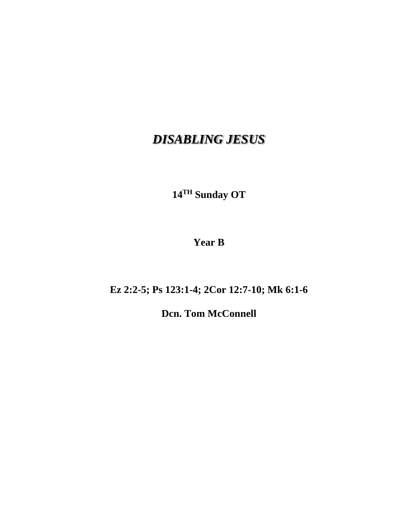## *DISABLING JESUS*

**14 TH Sunday OT**

**Year B**

## **Ez 2:2-5; Ps 123:1-4; 2Cor 12:7-10; Mk 6:1-6**

**Dcn. Tom McConnell**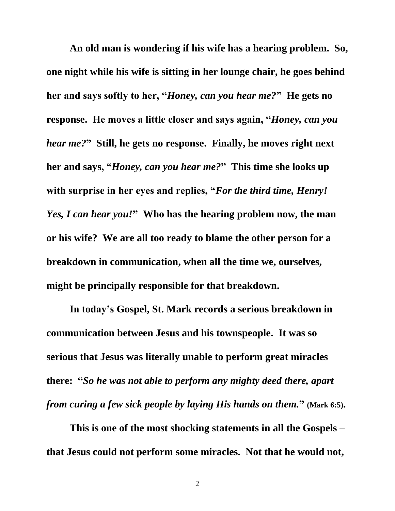**An old man is wondering if his wife has a hearing problem. So, one night while his wife is sitting in her lounge chair, he goes behind her and says softly to her, "***Honey, can you hear me?***" He gets no response. He moves a little closer and says again, "***Honey, can you hear me?***" Still, he gets no response. Finally, he moves right next her and says, "***Honey, can you hear me?***" This time she looks up with surprise in her eyes and replies, "***For the third time, Henry! Yes, I can hear you!***" Who has the hearing problem now, the man or his wife? We are all too ready to blame the other person for a breakdown in communication, when all the time we, ourselves, might be principally responsible for that breakdown.**

**In today's Gospel, St. Mark records a serious breakdown in communication between Jesus and his townspeople. It was so serious that Jesus was literally unable to perform great miracles there: "***So he was not able to perform any mighty deed there, apart from curing a few sick people by laying His hands on them.***" (Mark 6:5).**

**This is one of the most shocking statements in all the Gospels – that Jesus could not perform some miracles. Not that he would not,**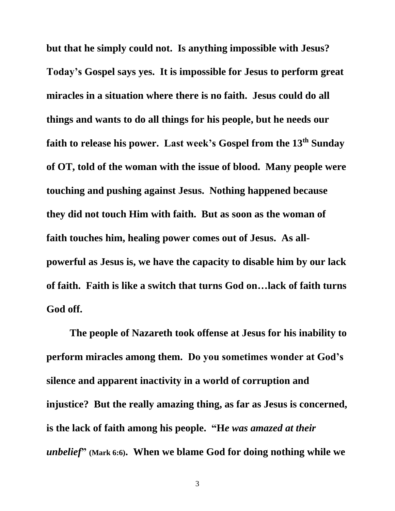**but that he simply could not. Is anything impossible with Jesus? Today's Gospel says yes. It is impossible for Jesus to perform great miracles in a situation where there is no faith. Jesus could do all things and wants to do all things for his people, but he needs our faith to release his power. Last week's Gospel from the 13th Sunday of OT, told of the woman with the issue of blood. Many people were touching and pushing against Jesus. Nothing happened because they did not touch Him with faith. But as soon as the woman of faith touches him, healing power comes out of Jesus. As allpowerful as Jesus is, we have the capacity to disable him by our lack of faith. Faith is like a switch that turns God on…lack of faith turns God off.**

**The people of Nazareth took offense at Jesus for his inability to perform miracles among them. Do you sometimes wonder at God's silence and apparent inactivity in a world of corruption and injustice? But the really amazing thing, as far as Jesus is concerned, is the lack of faith among his people. "H***e was amazed at their unbelief***" (Mark 6:6). When we blame God for doing nothing while we**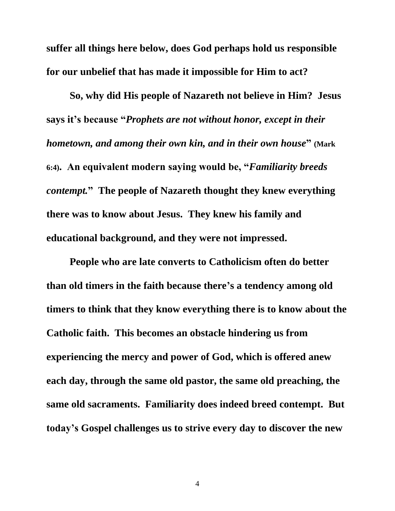**suffer all things here below, does God perhaps hold us responsible for our unbelief that has made it impossible for Him to act?**

**So, why did His people of Nazareth not believe in Him? Jesus says it's because "***Prophets are not without honor, except in their hometown, and among their own kin, and in their own house***" (Mark 6:4). An equivalent modern saying would be, "***Familiarity breeds contempt.***" The people of Nazareth thought they knew everything there was to know about Jesus. They knew his family and educational background, and they were not impressed.**

**People who are late converts to Catholicism often do better than old timers in the faith because there's a tendency among old timers to think that they know everything there is to know about the Catholic faith. This becomes an obstacle hindering us from experiencing the mercy and power of God, which is offered anew each day, through the same old pastor, the same old preaching, the same old sacraments. Familiarity does indeed breed contempt. But today's Gospel challenges us to strive every day to discover the new** 

4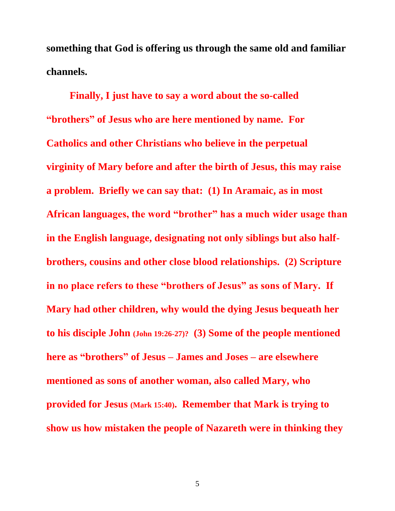**something that God is offering us through the same old and familiar channels.**

**Finally, I just have to say a word about the so-called "brothers" of Jesus who are here mentioned by name. For Catholics and other Christians who believe in the perpetual virginity of Mary before and after the birth of Jesus, this may raise a problem. Briefly we can say that: (1) In Aramaic, as in most African languages, the word "brother" has a much wider usage than in the English language, designating not only siblings but also halfbrothers, cousins and other close blood relationships. (2) Scripture in no place refers to these "brothers of Jesus" as sons of Mary. If Mary had other children, why would the dying Jesus bequeath her to his disciple John (John 19:26-27)? (3) Some of the people mentioned here as "brothers" of Jesus – James and Joses – are elsewhere mentioned as sons of another woman, also called Mary, who provided for Jesus (Mark 15:40). Remember that Mark is trying to show us how mistaken the people of Nazareth were in thinking they**